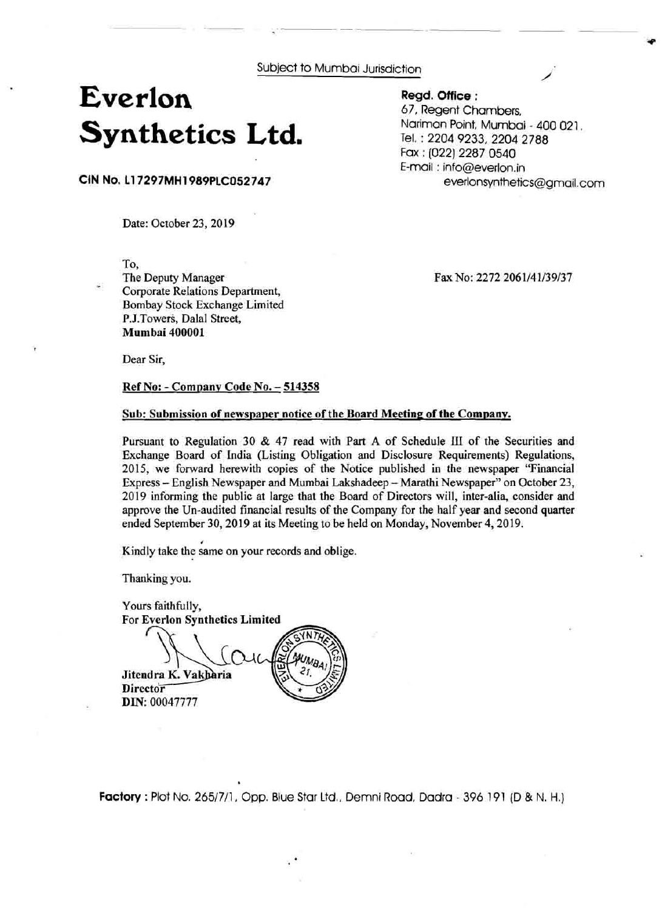Subject to Mumbai Jurisdiction

## **Everlon Synthetics Ltd.**

**Regd. Office** : 67, Regent Chambers, Nariman Point, Mumbai - 400 021. Tel. : 2204 9233,2204 2788 Fax : (022) 2287 0540 E-mail : info@everlon.in everlonsynthetics@gmaiI.com

**CIN No. 11 7297MH 1 989PLC052747** 

Date: October 23, 2019

To,

The Deputy Manager Corporate Relations Department, Bombay Stock Exchange Limited P.J.Towers, Dalal Street, **Mumbai 400001** 

Fax No: 2272 2061/41/39/37

Dear Sir,

**Ref No:** - **Company Code No.** - **<sup>514358</sup>**

## Sub: Submission of newspaper notice of the Board Meeting of the Company.

Pursuant to Regulation 30 & 47 read with Part A of Schedule **I11** of the Securities and Exchange Board of India (Listing Obligation and Disclosure Requirements) Regulations, 2015, we forward herewith copies of the Notice published in the newspaper "Financial Express - English Newspaper and Mumbai Lakshadeep - Marathi Newspaper" on October 23, 2019 informing the public at large that the Board of Directors will, inter-alia, consider and approve the Un-audited financial results of the Company for the half year and second quarter ended September 30, 2019 at its Meeting to be held on Monday, November 4, 2019.

**Kindly take the same on your records and oblige.** 

Thanking you.

Yours faithfully, For **Everlon Svnthetics Limited**  Jitendra K. Vakharia **Director DIN:** 00047777

**Factory** : Plot No. 2651711, Opp. Blue Star Ltd,, Demni Road, Dadra - 396 191 (D & N. H.)